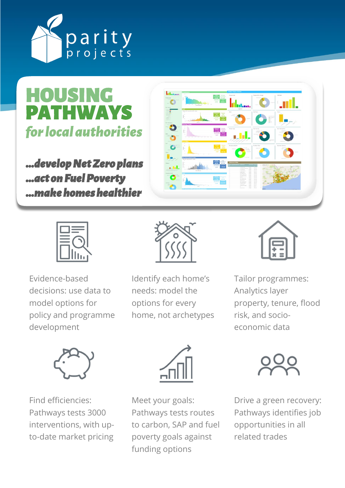

HOUSING PATHWAYS for local authorities

*…develop Net Zero plans …act on Fuel Poverty …make homes healthier* 



Evidence-based decisions: use data to model options for policy and programme development



Identify each home's needs: model the options for every home, not archetypes



**Infinition** 

a. Irl.

Tailor programmes: Analytics layer property, tenure, flood risk, and socioeconomic data



Find efficiencies: Pathways tests 3000 interventions, with upto-date market pricing



Meet your goals: Pathways tests routes to carbon, SAP and fuel poverty goals against funding options



Drive a green recovery: Pathways identifies job opportunities in all related trades